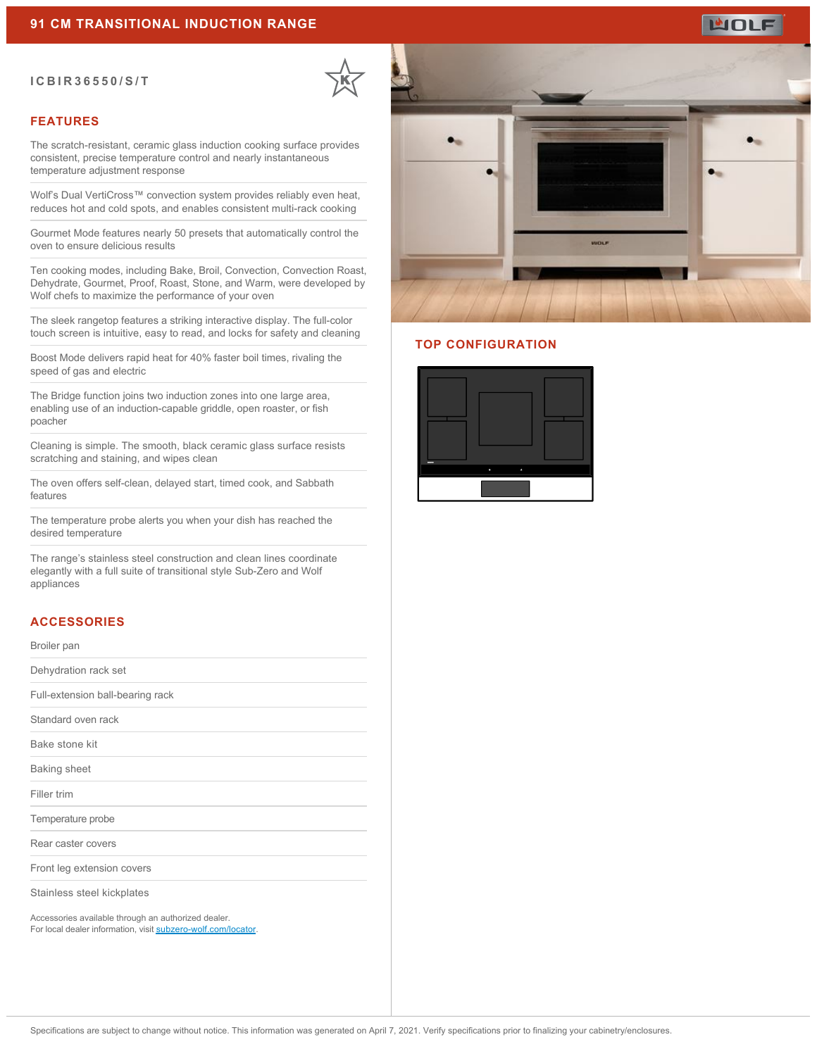#### **ICBIR36550/S/T**



### **FEATURES**

The scratch-resistant, ceramic glass induction cooking surface provides consistent, precise temperature control and nearly instantaneous temperature adjustment response

Wolf's Dual VertiCross™ convection system provides reliably even heat, reduces hot and cold spots, and enables consistent multi-rack cooking

Gourmet Mode features nearly 50 presets that automatically control the oven to ensure delicious results

Ten cooking modes, including Bake, Broil, Convection, Convection Roast, Dehydrate, Gourmet, Proof, Roast, Stone, and Warm, were developed by Wolf chefs to maximize the performance of your oven

The sleek rangetop features a striking interactive display. The full-color touch screen is intuitive, easy to read, and locks for safety and cleaning

Boost Mode delivers rapid heat for 40% faster boil times, rivaling the speed of gas and electric

The Bridge function joins two induction zones into one large area, enabling use of an induction-capable griddle, open roaster, or fish poacher

Cleaning is simple. The smooth, black ceramic glass surface resists scratching and staining, and wipes clean

The oven offers self-clean, delayed start, timed cook, and Sabbath features

The temperature probe alerts you when your dish has reached the desired temperature

The range's stainless steel construction and clean lines coordinate elegantly with a full suite of transitional style Sub-Zero and Wolf appliances

## **ACCESSORIES**

Broiler pan

Dehydration rack set

Full-extension ball-bearing rack

Standard oven rack

Bake stone kit

Baking sheet

Filler trim

Temperature probe

Rear caster covers

Front leg extension covers

Stainless steel kickplates

Accessories available through an authorized dealer. For local dealer information, visit [subzero-wolf.com/locator.](http://www.subzero-wolf.com/locator)



### **TOP CONFIGURATION**